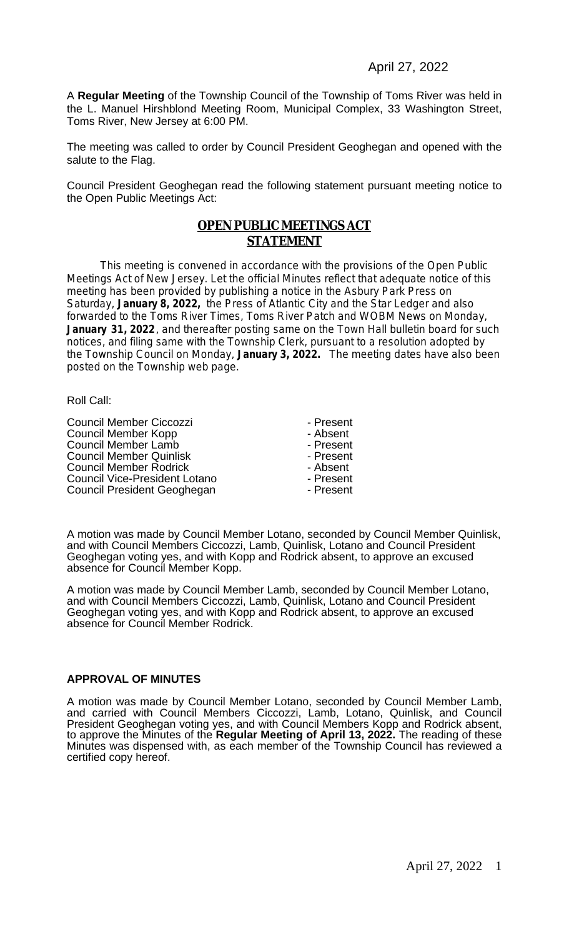A **Regular Meeting** of the Township Council of the Township of Toms River was held in the L. Manuel Hirshblond Meeting Room, Municipal Complex, 33 Washington Street, Toms River, New Jersey at 6:00 PM.

The meeting was called to order by Council President Geoghegan and opened with the salute to the Flag.

Council President Geoghegan read the following statement pursuant meeting notice to the Open Public Meetings Act:

#### **OPEN PUBLIC MEETINGS ACT STATEMENT**

This meeting is convened in accordance with the provisions of the Open Public Meetings Act of New Jersey. Let the official Minutes reflect that adequate notice of this meeting has been provided by publishing a notice in the Asbury Park Press on Saturday, **January 8, 2022,** the Press of Atlantic City and the Star Ledger and also forwarded to the Toms River Times, Toms River Patch and WOBM News on Monday, January 31, 2022, and thereafter posting same on the Town Hall bulletin board for such notices, and filing same with the Township Clerk, pursuant to a resolution adopted by the Township Council on Monday, **January 3, 2022.** The meeting dates have also been posted on the Township web page.

Roll Call:

Council Member Ciccozzi<br>
Council Member Kopp<br>
Council Member Kopp<br>
Council Member Kopp Council Member Kopp Figure 2012 - Absent<br>
Council Member Lamb<br>
Council Member Lamb Council Member Lamb<br>
Council Member Quinlisk<br>
Council Member Quinlisk<br>
Council Member Quinlisk Council Member Quinlisk<br>
Council Member Rodrick<br>
Council Member Rodrick<br>
Council Member Rodrick<br>
Council Member Rodrick **Council Member Rodrick - Absent - Absent Council Vice-President Lotano** Council Vice-President Lotano<br>
Council President Geoghegan
Bouncil President Geoghegan
Bouncil President Geoghegan
Bouncil President Geoghegan
Bouncil President Geoghegan
Bouncil President Geoghegan Council President Geoghegan

A motion was made by Council Member Lotano, seconded by Council Member Quinlisk, and with Council Members Ciccozzi, Lamb, Quinlisk, Lotano and Council President Geoghegan voting yes, and with Kopp and Rodrick absent, to approve an excused absence for Council Member Kopp.

A motion was made by Council Member Lamb, seconded by Council Member Lotano, and with Council Members Ciccozzi, Lamb, Quinlisk, Lotano and Council President Geoghegan voting yes, and with Kopp and Rodrick absent, to approve an excused absence for Council Member Rodrick.

#### **APPROVAL OF MINUTES**

A motion was made by Council Member Lotano, seconded by Council Member Lamb, and carried with Council Members Ciccozzi, Lamb, Lotano, Quinlisk, and Council President Geoghegan voting yes, and with Council Members Kopp and Rodrick absent, to approve the Minutes of the **Regular Meeting of April 13, 2022.** The reading of these Minutes was dispensed with, as each member of the Township Council has reviewed a certified copy hereof.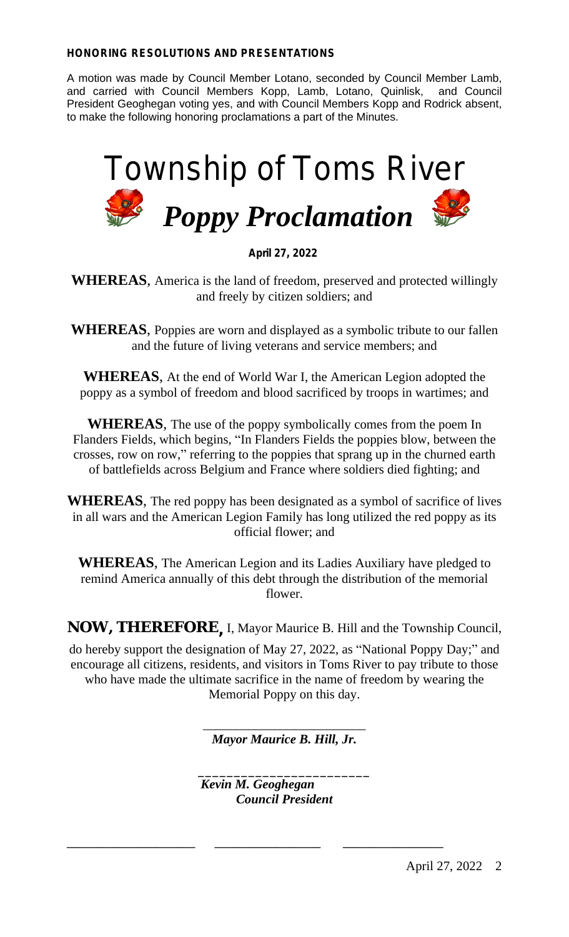#### **HONORING RESOLUTIONS AND PRESENTATIONS**

A motion was made by Council Member Lotano, seconded by Council Member Lamb, and carried with Council Members Kopp, Lamb, Lotano, Quinlisk, and Council President Geoghegan voting yes, and with Council Members Kopp and Rodrick absent, to make the following honoring proclamations a part of the Minutes.



**April 27, 2022**

**WHEREAS**, America is the land of freedom, preserved and protected willingly and freely by citizen soldiers; and

**WHEREAS**, Poppies are worn and displayed as a symbolic tribute to our fallen and the future of living veterans and service members; and

**WHEREAS**, At the end of World War I, the American Legion adopted the poppy as a symbol of freedom and blood sacrificed by troops in wartimes; and

**WHEREAS**, The use of the poppy symbolically comes from the poem In Flanders Fields, which begins, "In Flanders Fields the poppies blow, between the crosses, row on row," referring to the poppies that sprang up in the churned earth of battlefields across Belgium and France where soldiers died fighting; and

**WHEREAS**, The red poppy has been designated as a symbol of sacrifice of lives in all wars and the American Legion Family has long utilized the red poppy as its official flower; and

**WHEREAS**, The American Legion and its Ladies Auxiliary have pledged to remind America annually of this debt through the distribution of the memorial flower.

**NOW, THEREFORE ,** I, Mayor Maurice B. Hill and the Township Council,

do hereby support the designation of May 27, 2022, as "National Poppy Day;" and encourage all citizens, residents, and visitors in Toms River to pay tribute to those who have made the ultimate sacrifice in the name of freedom by wearing the Memorial Poppy on this day.

> \_\_\_\_\_\_\_\_\_\_\_\_\_\_\_\_\_\_\_\_\_\_\_\_\_ *Mayor Maurice B. Hill, Jr.*

\_\_\_\_\_\_\_\_\_\_\_\_\_\_\_\_\_\_\_\_\_\_\_\_ *Kevin M. Geoghegan Council President*

**\_\_\_\_\_\_\_\_\_\_\_\_\_\_\_\_\_\_\_\_\_\_\_ \_\_\_\_\_\_\_\_\_\_\_\_\_\_\_\_\_\_\_ \_\_\_\_\_\_\_\_\_\_\_\_\_\_\_\_\_\_**

April 27, 2022 2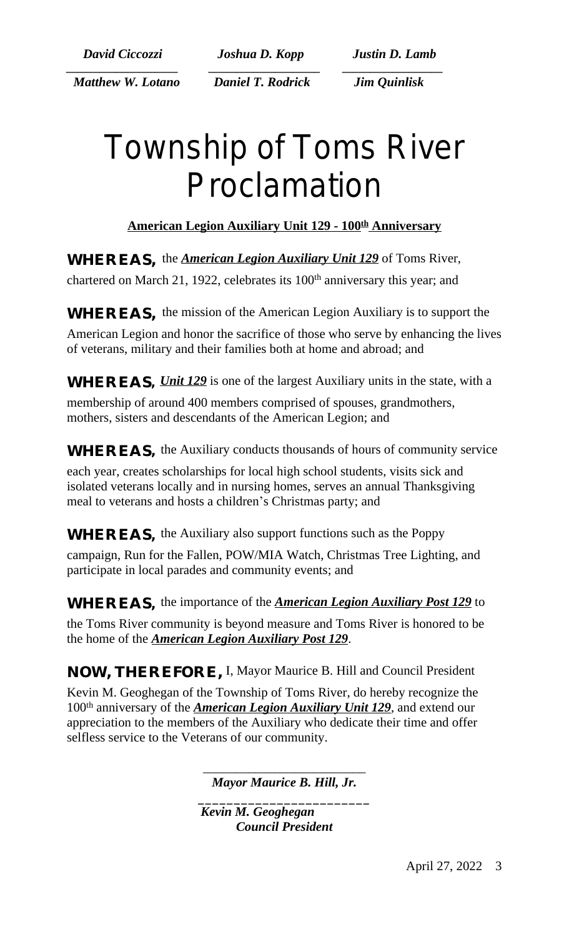*\_\_\_\_\_\_\_\_\_\_\_\_\_\_\_\_\_\_\_\_ \_\_\_\_\_\_\_\_\_\_\_\_\_\_\_\_\_\_\_\_ \_\_\_\_\_\_\_\_\_\_\_\_\_\_\_\_\_\_ Matthew W. Lotano Daniel T. Rodrick Jim Quinlisk*

 *David Ciccozzi Joshua D. Kopp Justin D. Lamb*

## Township of Toms River Proclamation

### **American Legion Auxiliary Unit 129 - 100th Anniversary**

**WHEREAS**, the *American Legion Auxiliary Unit 129* of Toms River,

chartered on March 21, 1922, celebrates its 100<sup>th</sup> anniversary this year; and

**WHEREAS,** the mission of the American Legion Auxiliary is to support the

American Legion and honor the sacrifice of those who serve by enhancing the lives of veterans, military and their families both at home and abroad; and

**WHEREAS,** *Unit 129* is one of the largest Auxiliary units in the state, with a

membership of around 400 members comprised of spouses, grandmothers, mothers, sisters and descendants of the American Legion; and

**WHEREAS,** the Auxiliary conducts thousands of hours of community service

each year, creates scholarships for local high school students, visits sick and isolated veterans locally and in nursing homes, serves an annual Thanksgiving meal to veterans and hosts a children's Christmas party; and

**WHEREAS,** the Auxiliary also support functions such as the Poppy

campaign, Run for the Fallen, POW/MIA Watch, Christmas Tree Lighting, and participate in local parades and community events; and

**WHEREAS,** the importance of the *American Legion Auxiliary Post 129* to

the Toms River community is beyond measure and Toms River is honored to be the home of the *American Legion Auxiliary Post 129*.

**NOW, THEREFORE,** I, Mayor Maurice B. Hill and Council President

Kevin M. Geoghegan of the Township of Toms River, do hereby recognize the 100th anniversary of the *American Legion Auxiliary Unit 129*, and extend our appreciation to the members of the Auxiliary who dedicate their time and offer selfless service to the Veterans of our community.

> \_\_\_\_\_\_\_\_\_\_\_\_\_\_\_\_\_\_\_\_\_\_\_\_\_ *Mayor Maurice B. Hill, Jr.*

\_\_\_\_\_\_\_\_\_\_\_\_\_\_\_\_\_\_\_\_\_\_\_\_ *Kevin M. Geoghegan Council President*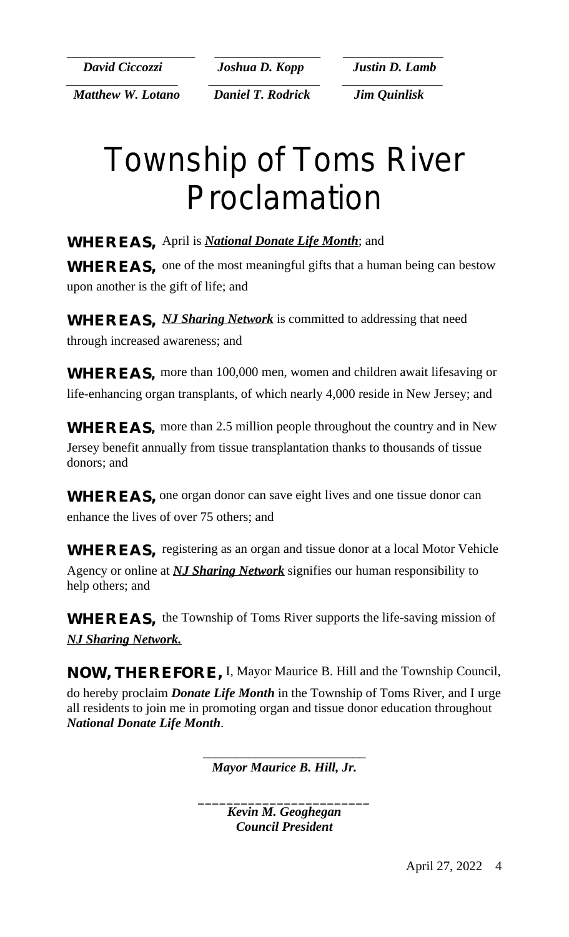**\_\_\_\_\_\_\_\_\_\_\_\_\_\_\_\_\_\_\_\_\_\_\_ \_\_\_\_\_\_\_\_\_\_\_\_\_\_\_\_\_\_\_ \_\_\_\_\_\_\_\_\_\_\_\_\_\_\_\_\_\_**  *David Ciccozzi Joshua D. Kopp Justin D. Lamb*

 *Matthew W. Lotano Daniel T. Rodrick Jim Quinlisk*

*\_\_\_\_\_\_\_\_\_\_\_\_\_\_\_\_\_\_\_\_ \_\_\_\_\_\_\_\_\_\_\_\_\_\_\_\_\_\_\_\_ \_\_\_\_\_\_\_\_\_\_\_\_\_\_\_\_\_\_*

## Township of Toms River Proclamation

**WHEREAS,** April is *National Donate Life Month*; and **WHEREAS,** one of the most meaningful gifts that a human being can bestow upon another is the gift of life; and

**WHEREAS,** *NJ Sharing Network* is committed to addressing that need through increased awareness; and

**WHEREAS,** more than 100,000 men, women and children await lifesaving or life-enhancing organ transplants, of which nearly 4,000 reside in New Jersey; and

**WHEREAS,** more than 2.5 million people throughout the country and in New Jersey benefit annually from tissue transplantation thanks to thousands of tissue donors; and

**WHEREAS,** one organ donor can save eight lives and one tissue donor can enhance the lives of over 75 others; and

**WHEREAS,** registering as an organ and tissue donor at a local Motor Vehicle Agency or online at *NJ Sharing Network* signifies our human responsibility to help others; and

**WHEREAS,** the Township of Toms River supports the life-saving mission of *NJ Sharing Network.*

**NOW, THEREFORE,** I, Mayor Maurice B. Hill and the Township Council, do hereby proclaim *Donate Life Month* in the Township of Toms River, and I urge all residents to join me in promoting organ and tissue donor education throughout *National Donate Life Month*.

> \_\_\_\_\_\_\_\_\_\_\_\_\_\_\_\_\_\_\_\_\_\_\_\_\_ *Mayor Maurice B. Hill, Jr.*

\_\_\_\_\_\_\_\_\_\_\_\_\_\_\_\_\_\_\_\_\_\_\_\_ *Kevin M. Geoghegan Council President*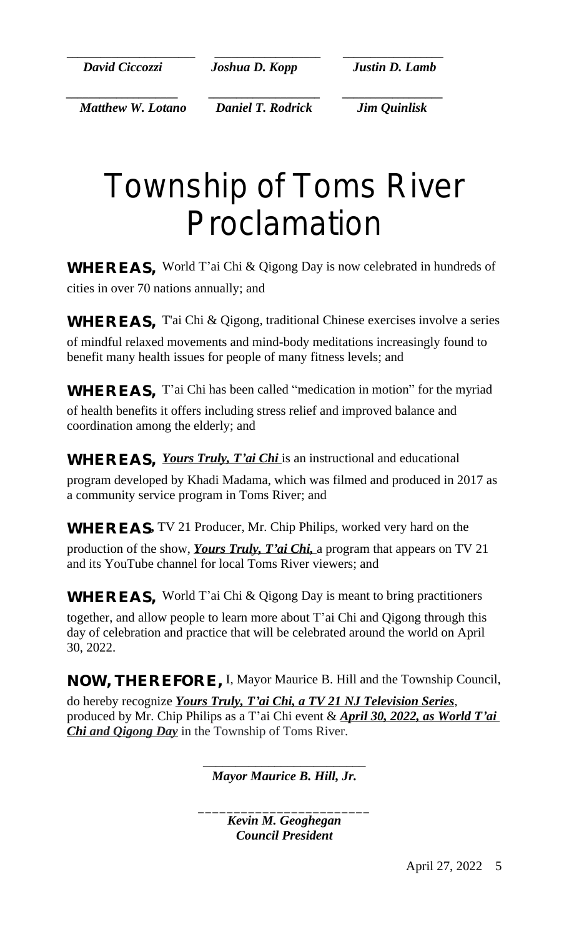*David Ciccozzi Joshua D. Kopp Justin D. Lamb*

**\_\_\_\_\_\_\_\_\_\_\_\_\_\_\_\_\_\_\_\_\_\_\_ \_\_\_\_\_\_\_\_\_\_\_\_\_\_\_\_\_\_\_ \_\_\_\_\_\_\_\_\_\_\_\_\_\_\_\_\_\_**

 *Matthew W. Lotano Daniel T. Rodrick Jim Quinlisk*

*\_\_\_\_\_\_\_\_\_\_\_\_\_\_\_\_\_\_\_\_ \_\_\_\_\_\_\_\_\_\_\_\_\_\_\_\_\_\_\_\_ \_\_\_\_\_\_\_\_\_\_\_\_\_\_\_\_\_\_*

# Township of Toms River Proclamation

**WHEREAS,** World T'ai Chi & Qigong Day is now celebrated in hundreds of cities in over 70 nations annually; and

**WHEREAS,** T'ai Chi & Qigong, traditional Chinese exercises involve a series of mindful relaxed movements and mind-body meditations increasingly found to benefit many health issues for people of many fitness levels; and

**WHEREAS**, T'ai Chi has been called "medication in motion" for the myriad

of health benefits it offers including stress relief and improved balance and coordination among the elderly; and

**WHEREAS,** *Yours Truly, T'ai Chi* is an instructional and educational program developed by Khadi Madama, which was filmed and produced in 2017 as a community service program in Toms River; and

**WHEREAS,** TV 21 Producer, Mr. Chip Philips, worked very hard on the

production of the show, *Yours Truly, T'ai Chi,* a program that appears on TV 21 and its YouTube channel for local Toms River viewers; and

**WHEREAS.** World T'ai Chi & Qigong Day is meant to bring practitioners

together, and allow people to learn more about T'ai Chi and Qigong through this day of celebration and practice that will be celebrated around the world on April 30, 2022.

**NOW, THEREFORE,** I, Mayor Maurice B. Hill and the Township Council,

do hereby recognize *Yours Truly, T'ai Chi, a TV 21 NJ Television Series*, produced by Mr. Chip Philips as a T'ai Chi event & *April 30, 2022, as World T'ai Chi and Qigong Day* in the Township of Toms River.

> \_\_\_\_\_\_\_\_\_\_\_\_\_\_\_\_\_\_\_\_\_\_\_\_\_ *Mayor Maurice B. Hill, Jr.*

\_\_\_\_\_\_\_\_\_\_\_\_\_\_\_\_\_\_\_\_\_\_\_\_ *Kevin M. Geoghegan Council President*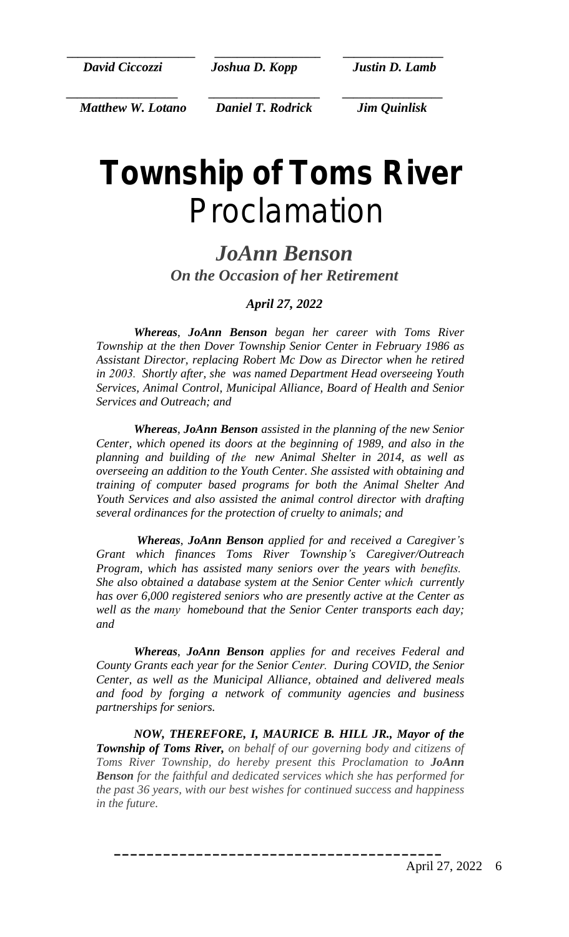**\_\_\_\_\_\_\_\_\_\_\_\_\_\_\_\_\_\_\_\_\_\_\_ \_\_\_\_\_\_\_\_\_\_\_\_\_\_\_\_\_\_\_ \_\_\_\_\_\_\_\_\_\_\_\_\_\_\_\_\_\_**  *David Ciccozzi Joshua D. Kopp Justin D. Lamb*

*\_\_\_\_\_\_\_\_\_\_\_\_\_\_\_\_\_\_\_\_ \_\_\_\_\_\_\_\_\_\_\_\_\_\_\_\_\_\_\_\_ \_\_\_\_\_\_\_\_\_\_\_\_\_\_\_\_\_\_*

 *Matthew W. Lotano Daniel T. Rodrick Jim Quinlisk*

## *Township of Toms River* Proclamation

### *JoAnn Benson On the Occasion of her Retirement*

#### *April 27, 2022*

*Whereas*, *JoAnn Benson began her career with Toms River Township at the then Dover Township Senior Center in February 1986 as Assistant Director, replacing Robert Mc Dow as Director when he retired in 2003. Shortly after, she was named Department Head overseeing Youth Services, Animal Control, Municipal Alliance, Board of Health and Senior Services and Outreach; and*

*Whereas*, *JoAnn Benson assisted in the planning of the new Senior Center, which opened its doors at the beginning of 1989, and also in the planning and building of the new Animal Shelter in 2014, as well as overseeing an addition to the Youth Center. She assisted with obtaining and training of computer based programs for both the Animal Shelter And Youth Services and also assisted the animal control director with drafting several ordinances for the protection of cruelty to animals; and*

*Whereas*, *JoAnn Benson applied for and received a Caregiver's Grant which finances Toms River Township's Caregiver/Outreach Program, which has assisted many seniors over the years with benefits. She also obtained a database system at the Senior Center which currently has over 6,000 registered seniors who are presently active at the Center as well as the many homebound that the Senior Center transports each day; and*

*Whereas*, *JoAnn Benson applies for and receives Federal and County Grants each year for the Senior Center. During COVID, the Senior Center, as well as the Municipal Alliance, obtained and delivered meals and food by forging a network of community agencies and business partnerships for seniors.*

*NOW, THEREFORE, I, MAURICE B. HILL JR., Mayor of the Township of Toms River, on behalf of our governing body and citizens of Toms River Township, do hereby present this Proclamation to JoAnn Benson for the faithful and dedicated services which she has performed for the past 36 years, with our best wishes for continued success and happiness in the future.*

**\_\_\_\_\_\_\_\_\_\_\_\_\_\_\_\_\_\_\_\_\_\_\_\_\_\_\_\_\_\_\_\_\_\_\_\_\_\_\_\_**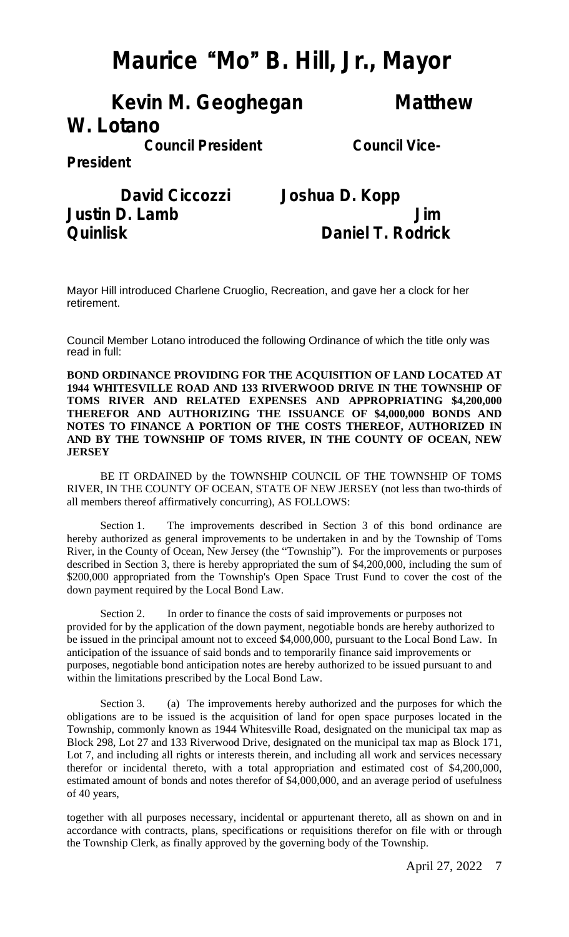## **Maurice** "**Mo**" **B. Hill, Jr., Mayor**

### **Kevin M. Geoghegan Matthew W. Lotano**

**Council President Council Vice-**

**President**

 **David Ciccozzi Joshua D. Kopp Justin D. Lamb Jim Quinlisk Daniel T. Rodrick**

Mayor Hill introduced Charlene Cruoglio, Recreation, and gave her a clock for her retirement.

Council Member Lotano introduced the following Ordinance of which the title only was read in full:

**BOND ORDINANCE PROVIDING FOR THE ACQUISITION OF LAND LOCATED AT 1944 WHITESVILLE ROAD AND 133 RIVERWOOD DRIVE IN THE TOWNSHIP OF TOMS RIVER AND RELATED EXPENSES AND APPROPRIATING \$4,200,000 THEREFOR AND AUTHORIZING THE ISSUANCE OF \$4,000,000 BONDS AND NOTES TO FINANCE A PORTION OF THE COSTS THEREOF, AUTHORIZED IN AND BY THE TOWNSHIP OF TOMS RIVER, IN THE COUNTY OF OCEAN, NEW JERSEY**

BE IT ORDAINED by the TOWNSHIP COUNCIL OF THE TOWNSHIP OF TOMS RIVER, IN THE COUNTY OF OCEAN, STATE OF NEW JERSEY (not less than two-thirds of all members thereof affirmatively concurring), AS FOLLOWS:

Section 1. The improvements described in Section 3 of this bond ordinance are hereby authorized as general improvements to be undertaken in and by the Township of Toms River, in the County of Ocean, New Jersey (the "Township"). For the improvements or purposes described in Section 3, there is hereby appropriated the sum of \$4,200,000, including the sum of \$200,000 appropriated from the Township's Open Space Trust Fund to cover the cost of the down payment required by the Local Bond Law.

Section 2. In order to finance the costs of said improvements or purposes not provided for by the application of the down payment, negotiable bonds are hereby authorized to be issued in the principal amount not to exceed \$4,000,000, pursuant to the Local Bond Law. In anticipation of the issuance of said bonds and to temporarily finance said improvements or purposes, negotiable bond anticipation notes are hereby authorized to be issued pursuant to and within the limitations prescribed by the Local Bond Law.

Section 3. (a) The improvements hereby authorized and the purposes for which the obligations are to be issued is the acquisition of land for open space purposes located in the Township, commonly known as 1944 Whitesville Road, designated on the municipal tax map as Block 298, Lot 27 and 133 Riverwood Drive, designated on the municipal tax map as Block 171, Lot 7, and including all rights or interests therein, and including all work and services necessary therefor or incidental thereto, with a total appropriation and estimated cost of \$4,200,000, estimated amount of bonds and notes therefor of \$4,000,000, and an average period of usefulness of 40 years,

together with all purposes necessary, incidental or appurtenant thereto, all as shown on and in accordance with contracts, plans, specifications or requisitions therefor on file with or through the Township Clerk, as finally approved by the governing body of the Township.

April 27, 2022 7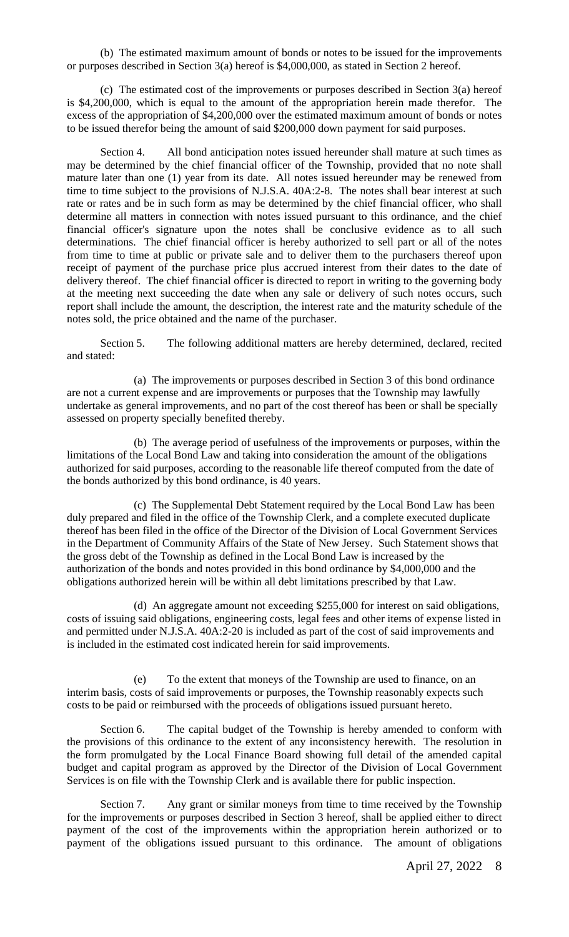(b) The estimated maximum amount of bonds or notes to be issued for the improvements or purposes described in Section 3(a) hereof is \$4,000,000, as stated in Section 2 hereof.

(c) The estimated cost of the improvements or purposes described in Section 3(a) hereof is \$4,200,000, which is equal to the amount of the appropriation herein made therefor. The excess of the appropriation of \$4,200,000 over the estimated maximum amount of bonds or notes to be issued therefor being the amount of said \$200,000 down payment for said purposes.

Section 4. All bond anticipation notes issued hereunder shall mature at such times as may be determined by the chief financial officer of the Township, provided that no note shall mature later than one (1) year from its date. All notes issued hereunder may be renewed from time to time subject to the provisions of N.J.S.A. 40A:2-8. The notes shall bear interest at such rate or rates and be in such form as may be determined by the chief financial officer, who shall determine all matters in connection with notes issued pursuant to this ordinance, and the chief financial officer's signature upon the notes shall be conclusive evidence as to all such determinations. The chief financial officer is hereby authorized to sell part or all of the notes from time to time at public or private sale and to deliver them to the purchasers thereof upon receipt of payment of the purchase price plus accrued interest from their dates to the date of delivery thereof. The chief financial officer is directed to report in writing to the governing body at the meeting next succeeding the date when any sale or delivery of such notes occurs, such report shall include the amount, the description, the interest rate and the maturity schedule of the notes sold, the price obtained and the name of the purchaser.

Section 5. The following additional matters are hereby determined, declared, recited and stated:

(a) The improvements or purposes described in Section 3 of this bond ordinance are not a current expense and are improvements or purposes that the Township may lawfully undertake as general improvements, and no part of the cost thereof has been or shall be specially assessed on property specially benefited thereby.

(b) The average period of usefulness of the improvements or purposes, within the limitations of the Local Bond Law and taking into consideration the amount of the obligations authorized for said purposes, according to the reasonable life thereof computed from the date of the bonds authorized by this bond ordinance, is 40 years.

(c) The Supplemental Debt Statement required by the Local Bond Law has been duly prepared and filed in the office of the Township Clerk, and a complete executed duplicate thereof has been filed in the office of the Director of the Division of Local Government Services in the Department of Community Affairs of the State of New Jersey. Such Statement shows that the gross debt of the Township as defined in the Local Bond Law is increased by the authorization of the bonds and notes provided in this bond ordinance by \$4,000,000 and the obligations authorized herein will be within all debt limitations prescribed by that Law.

(d) An aggregate amount not exceeding \$255,000 for interest on said obligations, costs of issuing said obligations, engineering costs, legal fees and other items of expense listed in and permitted under N.J.S.A. 40A:2-20 is included as part of the cost of said improvements and is included in the estimated cost indicated herein for said improvements.

(e) To the extent that moneys of the Township are used to finance, on an interim basis, costs of said improvements or purposes, the Township reasonably expects such costs to be paid or reimbursed with the proceeds of obligations issued pursuant hereto.

Section 6. The capital budget of the Township is hereby amended to conform with the provisions of this ordinance to the extent of any inconsistency herewith. The resolution in the form promulgated by the Local Finance Board showing full detail of the amended capital budget and capital program as approved by the Director of the Division of Local Government Services is on file with the Township Clerk and is available there for public inspection.

Section 7. Any grant or similar moneys from time to time received by the Township for the improvements or purposes described in Section 3 hereof, shall be applied either to direct payment of the cost of the improvements within the appropriation herein authorized or to payment of the obligations issued pursuant to this ordinance. The amount of obligations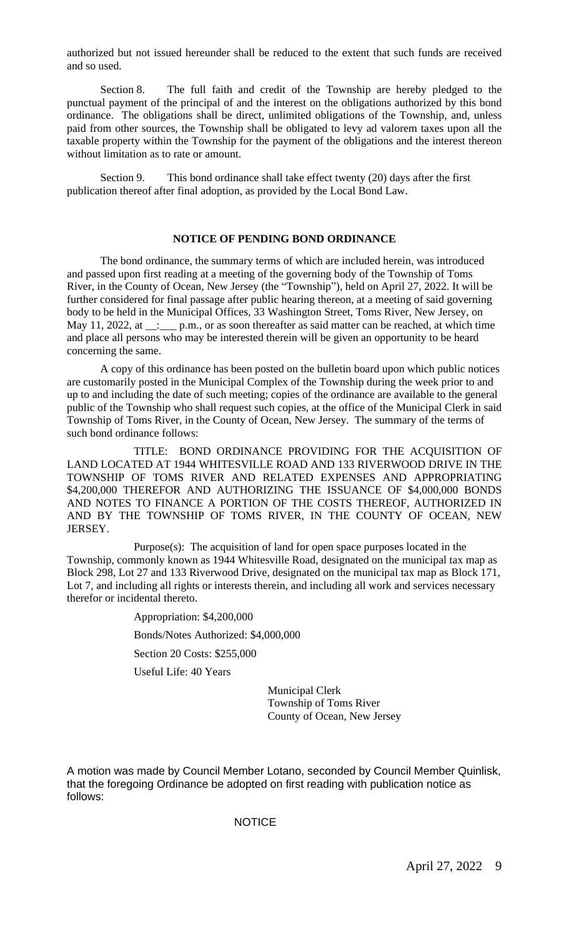authorized but not issued hereunder shall be reduced to the extent that such funds are received and so used.

Section 8. The full faith and credit of the Township are hereby pledged to the punctual payment of the principal of and the interest on the obligations authorized by this bond ordinance. The obligations shall be direct, unlimited obligations of the Township, and, unless paid from other sources, the Township shall be obligated to levy ad valorem taxes upon all the taxable property within the Township for the payment of the obligations and the interest thereon without limitation as to rate or amount.

Section 9. This bond ordinance shall take effect twenty (20) days after the first publication thereof after final adoption, as provided by the Local Bond Law.

#### **NOTICE OF PENDING BOND ORDINANCE**

The bond ordinance, the summary terms of which are included herein, was introduced and passed upon first reading at a meeting of the governing body of the Township of Toms River, in the County of Ocean, New Jersey (the "Township"), held on April 27, 2022. It will be further considered for final passage after public hearing thereon, at a meeting of said governing body to be held in the Municipal Offices, 33 Washington Street, Toms River, New Jersey, on May 11, 2022, at \_\_:\_\_\_ p.m., or as soon thereafter as said matter can be reached, at which time and place all persons who may be interested therein will be given an opportunity to be heard concerning the same.

A copy of this ordinance has been posted on the bulletin board upon which public notices are customarily posted in the Municipal Complex of the Township during the week prior to and up to and including the date of such meeting; copies of the ordinance are available to the general public of the Township who shall request such copies, at the office of the Municipal Clerk in said Township of Toms River, in the County of Ocean, New Jersey. The summary of the terms of such bond ordinance follows:

TITLE: BOND ORDINANCE PROVIDING FOR THE ACQUISITION OF LAND LOCATED AT 1944 WHITESVILLE ROAD AND 133 RIVERWOOD DRIVE IN THE TOWNSHIP OF TOMS RIVER AND RELATED EXPENSES AND APPROPRIATING \$4,200,000 THEREFOR AND AUTHORIZING THE ISSUANCE OF \$4,000,000 BONDS AND NOTES TO FINANCE A PORTION OF THE COSTS THEREOF, AUTHORIZED IN AND BY THE TOWNSHIP OF TOMS RIVER, IN THE COUNTY OF OCEAN, NEW JERSEY.

Purpose(s): The acquisition of land for open space purposes located in the Township, commonly known as 1944 Whitesville Road, designated on the municipal tax map as Block 298, Lot 27 and 133 Riverwood Drive, designated on the municipal tax map as Block 171, Lot 7, and including all rights or interests therein, and including all work and services necessary therefor or incidental thereto.

> Appropriation: \$4,200,000 Bonds/Notes Authorized: \$4,000,000 Section 20 Costs: \$255,000 Useful Life: 40 Years

> > Municipal Clerk Township of Toms River County of Ocean, New Jersey

A motion was made by Council Member Lotano, seconded by Council Member Quinlisk, that the foregoing Ordinance be adopted on first reading with publication notice as follows:

#### **NOTICE**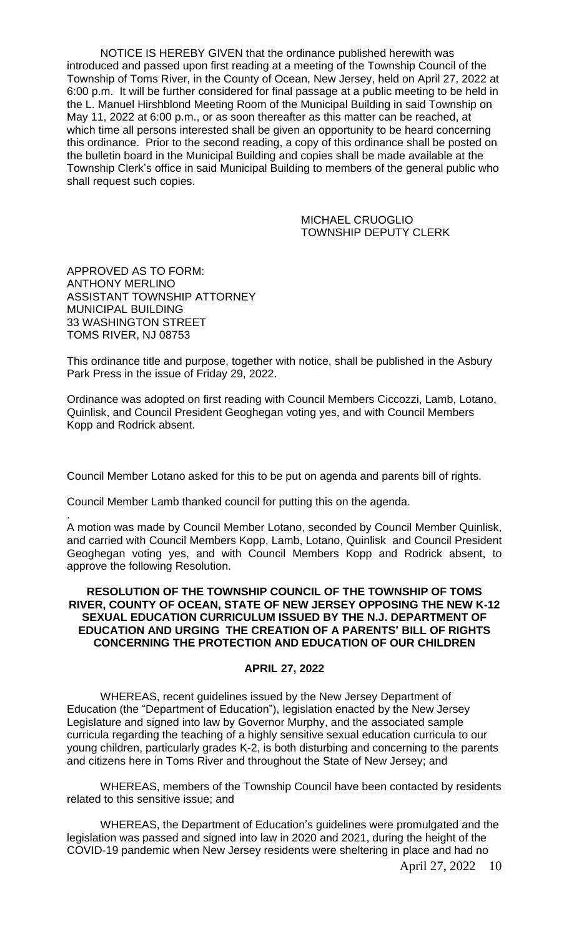NOTICE IS HEREBY GIVEN that the ordinance published herewith was introduced and passed upon first reading at a meeting of the Township Council of the Township of Toms River, in the County of Ocean, New Jersey, held on April 27, 2022 at 6:00 p.m. It will be further considered for final passage at a public meeting to be held in the L. Manuel Hirshblond Meeting Room of the Municipal Building in said Township on May 11, 2022 at 6:00 p.m., or as soon thereafter as this matter can be reached, at which time all persons interested shall be given an opportunity to be heard concerning this ordinance. Prior to the second reading, a copy of this ordinance shall be posted on the bulletin board in the Municipal Building and copies shall be made available at the Township Clerk's office in said Municipal Building to members of the general public who shall request such copies.

> MICHAEL CRUOGLIO TOWNSHIP DEPUTY CLERK

APPROVED AS TO FORM: ANTHONY MERLINO ASSISTANT TOWNSHIP ATTORNEY MUNICIPAL BUILDING 33 WASHINGTON STREET TOMS RIVER, NJ 08753

This ordinance title and purpose, together with notice, shall be published in the Asbury Park Press in the issue of Friday 29, 2022.

Ordinance was adopted on first reading with Council Members Ciccozzi, Lamb, Lotano, Quinlisk, and Council President Geoghegan voting yes, and with Council Members Kopp and Rodrick absent.

Council Member Lotano asked for this to be put on agenda and parents bill of rights.

Council Member Lamb thanked council for putting this on the agenda.

. A motion was made by Council Member Lotano, seconded by Council Member Quinlisk, and carried with Council Members Kopp, Lamb, Lotano, Quinlisk and Council President Geoghegan voting yes, and with Council Members Kopp and Rodrick absent, to approve the following Resolution.

#### **RESOLUTION OF THE TOWNSHIP COUNCIL OF THE TOWNSHIP OF TOMS RIVER, COUNTY OF OCEAN, STATE OF NEW JERSEY OPPOSING THE NEW K-12 SEXUAL EDUCATION CURRICULUM ISSUED BY THE N.J. DEPARTMENT OF EDUCATION AND URGING THE CREATION OF A PARENTS' BILL OF RIGHTS CONCERNING THE PROTECTION AND EDUCATION OF OUR CHILDREN**

#### **APRIL 27, 2022**

WHEREAS, recent guidelines issued by the New Jersey Department of Education (the "Department of Education"), legislation enacted by the New Jersey Legislature and signed into law by Governor Murphy, and the associated sample curricula regarding the teaching of a highly sensitive sexual education curricula to our young children, particularly grades K-2, is both disturbing and concerning to the parents and citizens here in Toms River and throughout the State of New Jersey; and

WHEREAS, members of the Township Council have been contacted by residents related to this sensitive issue; and

WHEREAS, the Department of Education's guidelines were promulgated and the legislation was passed and signed into law in 2020 and 2021, during the height of the COVID-19 pandemic when New Jersey residents were sheltering in place and had no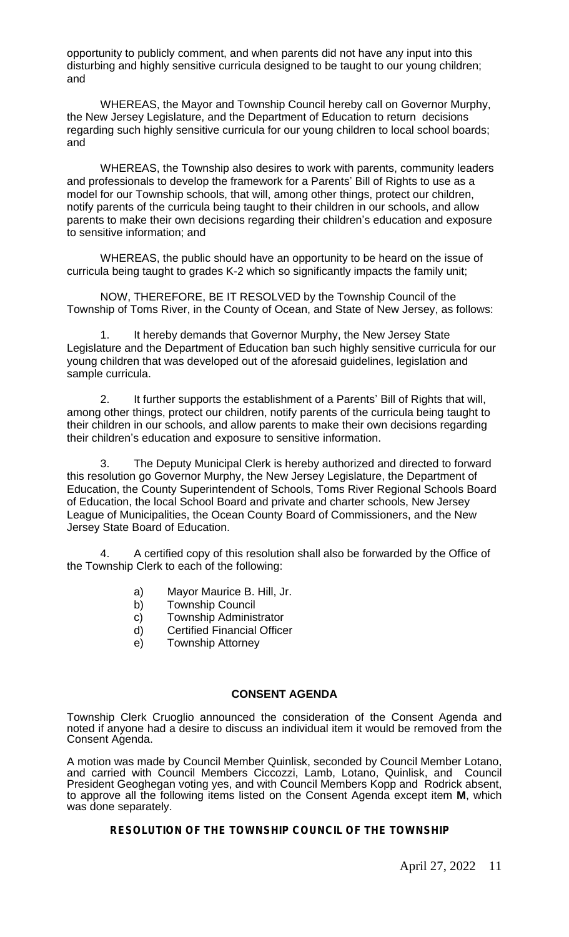opportunity to publicly comment, and when parents did not have any input into this disturbing and highly sensitive curricula designed to be taught to our young children; and

WHEREAS, the Mayor and Township Council hereby call on Governor Murphy, the New Jersey Legislature, and the Department of Education to return decisions regarding such highly sensitive curricula for our young children to local school boards; and

WHEREAS, the Township also desires to work with parents, community leaders and professionals to develop the framework for a Parents' Bill of Rights to use as a model for our Township schools, that will, among other things, protect our children, notify parents of the curricula being taught to their children in our schools, and allow parents to make their own decisions regarding their children's education and exposure to sensitive information; and

WHEREAS, the public should have an opportunity to be heard on the issue of curricula being taught to grades K-2 which so significantly impacts the family unit;

NOW, THEREFORE, BE IT RESOLVED by the Township Council of the Township of Toms River, in the County of Ocean, and State of New Jersey, as follows:

1. It hereby demands that Governor Murphy, the New Jersey State Legislature and the Department of Education ban such highly sensitive curricula for our young children that was developed out of the aforesaid guidelines, legislation and sample curricula.

2. It further supports the establishment of a Parents' Bill of Rights that will, among other things, protect our children, notify parents of the curricula being taught to their children in our schools, and allow parents to make their own decisions regarding their children's education and exposure to sensitive information.

3. The Deputy Municipal Clerk is hereby authorized and directed to forward this resolution go Governor Murphy, the New Jersey Legislature, the Department of Education, the County Superintendent of Schools, Toms River Regional Schools Board of Education, the local School Board and private and charter schools, New Jersey League of Municipalities, the Ocean County Board of Commissioners, and the New Jersey State Board of Education.

4. A certified copy of this resolution shall also be forwarded by the Office of the Township Clerk to each of the following:

- a) Mayor Maurice B. Hill, Jr.
- b) Township Council
- c) Township Administrator
- d) Certified Financial Officer
- e) Township Attorney

#### **CONSENT AGENDA**

Township Clerk Cruoglio announced the consideration of the Consent Agenda and noted if anyone had a desire to discuss an individual item it would be removed from the Consent Agenda.

A motion was made by Council Member Quinlisk, seconded by Council Member Lotano, and carried with Council Members Ciccozzi, Lamb, Lotano, Quinlisk, and Council President Geoghegan voting yes, and with Council Members Kopp and Rodrick absent, to approve all the following items listed on the Consent Agenda except item **M**, which was done separately.

#### **RESOLUTION OF THE TOWNSHIP COUNCIL OF THE TOWNSHIP**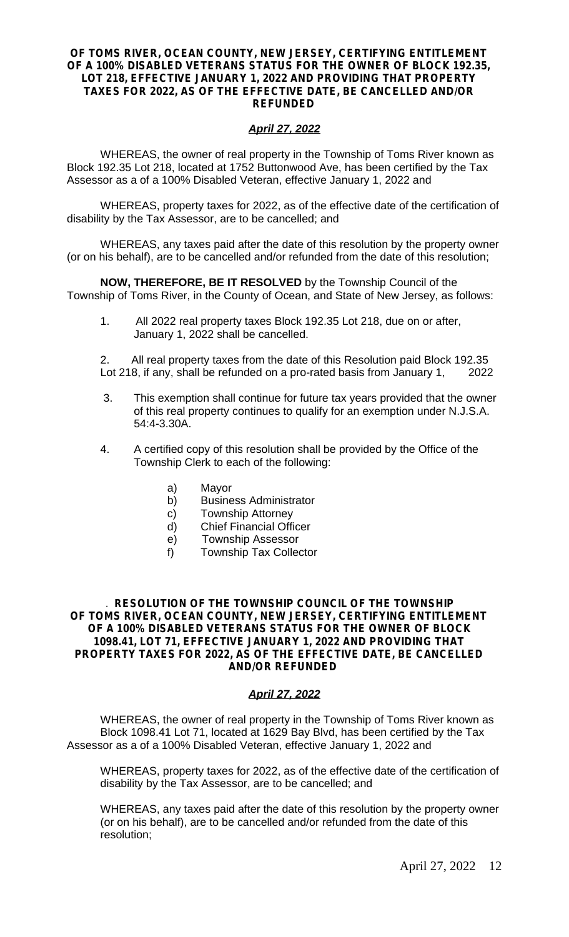#### **OF TOMS RIVER, OCEAN COUNTY, NEW JERSEY, CERTIFYING ENTITLEMENT OF A 100% DISABLED VETERANS STATUS FOR THE OWNER OF BLOCK 192.35, LOT 218, EFFECTIVE JANUARY 1, 2022 AND PROVIDING THAT PROPERTY TAXES FOR 2022, AS OF THE EFFECTIVE DATE, BE CANCELLED AND/OR REFUNDED**

#### *April 27, 2022*

WHEREAS, the owner of real property in the Township of Toms River known as Block 192.35 Lot 218, located at 1752 Buttonwood Ave, has been certified by the Tax Assessor as a of a 100% Disabled Veteran, effective January 1, 2022 and

WHEREAS, property taxes for 2022, as of the effective date of the certification of disability by the Tax Assessor, are to be cancelled; and

WHEREAS, any taxes paid after the date of this resolution by the property owner (or on his behalf), are to be cancelled and/or refunded from the date of this resolution;

**NOW, THEREFORE, BE IT RESOLVED** by the Township Council of the Township of Toms River, in the County of Ocean, and State of New Jersey, as follows:

1. All 2022 real property taxes Block 192.35 Lot 218, due on or after, January 1, 2022 shall be cancelled.

2. All real property taxes from the date of this Resolution paid Block 192.35 Lot 218, if any, shall be refunded on a pro-rated basis from January 1, 2022

- 3. This exemption shall continue for future tax years provided that the owner of this real property continues to qualify for an exemption under N.J.S.A. 54:4-3.30A.
- 4. A certified copy of this resolution shall be provided by the Office of the Township Clerk to each of the following:
	- a) Mayor
	- b) Business Administrator
	- c) Township Attorney
	- d) Chief Financial Officer
	- e) Township Assessor
	- f) Township Tax Collector

. **RESOLUTION OF THE TOWNSHIP COUNCIL OF THE TOWNSHIP OF TOMS RIVER, OCEAN COUNTY, NEW JERSEY, CERTIFYING ENTITLEMENT OF A 100% DISABLED VETERANS STATUS FOR THE OWNER OF BLOCK 1098.41, LOT 71, EFFECTIVE JANUARY 1, 2022 AND PROVIDING THAT PROPERTY TAXES FOR 2022, AS OF THE EFFECTIVE DATE, BE CANCELLED AND/OR REFUNDED**

#### *April 27, 2022*

WHEREAS, the owner of real property in the Township of Toms River known as Block 1098.41 Lot 71, located at 1629 Bay Blvd, has been certified by the Tax Assessor as a of a 100% Disabled Veteran, effective January 1, 2022 and

WHEREAS, property taxes for 2022, as of the effective date of the certification of disability by the Tax Assessor, are to be cancelled; and

WHEREAS, any taxes paid after the date of this resolution by the property owner (or on his behalf), are to be cancelled and/or refunded from the date of this resolution;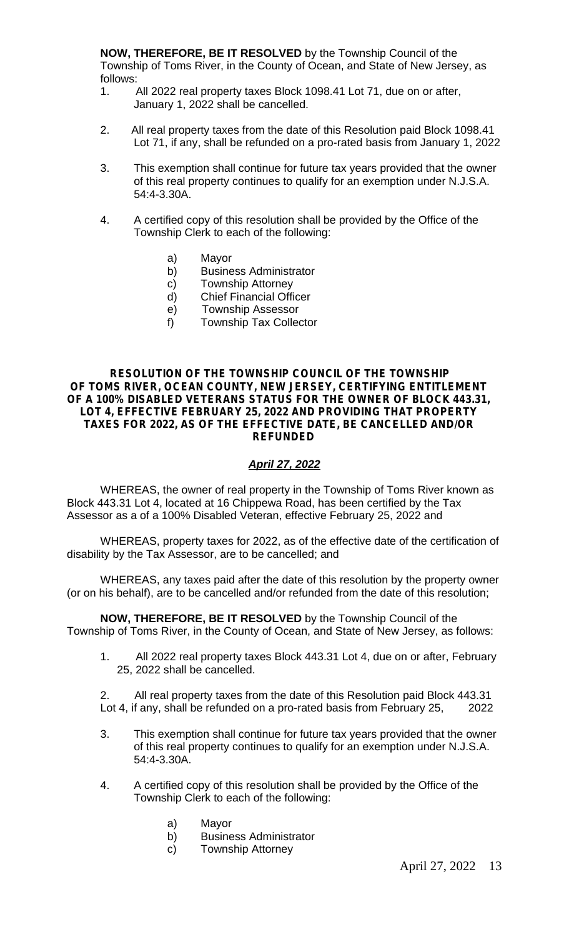**NOW, THEREFORE, BE IT RESOLVED** by the Township Council of the Township of Toms River, in the County of Ocean, and State of New Jersey, as follows:

- 1. All 2022 real property taxes Block 1098.41 Lot 71, due on or after, January 1, 2022 shall be cancelled.
- 2. All real property taxes from the date of this Resolution paid Block 1098.41 Lot 71, if any, shall be refunded on a pro-rated basis from January 1, 2022
- 3. This exemption shall continue for future tax years provided that the owner of this real property continues to qualify for an exemption under N.J.S.A. 54:4-3.30A.
- 4. A certified copy of this resolution shall be provided by the Office of the Township Clerk to each of the following:
	- a) Mayor
	- b) Business Administrator
	- c) Township Attorney
	- d) Chief Financial Officer
	- e) Township Assessor
	- f) Township Tax Collector

#### **RESOLUTION OF THE TOWNSHIP COUNCIL OF THE TOWNSHIP OF TOMS RIVER, OCEAN COUNTY, NEW JERSEY, CERTIFYING ENTITLEMENT OF A 100% DISABLED VETERANS STATUS FOR THE OWNER OF BLOCK 443.31, LOT 4, EFFECTIVE FEBRUARY 25, 2022 AND PROVIDING THAT PROPERTY TAXES FOR 2022, AS OF THE EFFECTIVE DATE, BE CANCELLED AND/OR REFUNDED**

#### *April 27, 2022*

WHEREAS, the owner of real property in the Township of Toms River known as Block 443.31 Lot 4, located at 16 Chippewa Road, has been certified by the Tax Assessor as a of a 100% Disabled Veteran, effective February 25, 2022 and

WHEREAS, property taxes for 2022, as of the effective date of the certification of disability by the Tax Assessor, are to be cancelled; and

WHEREAS, any taxes paid after the date of this resolution by the property owner (or on his behalf), are to be cancelled and/or refunded from the date of this resolution;

**NOW, THEREFORE, BE IT RESOLVED** by the Township Council of the Township of Toms River, in the County of Ocean, and State of New Jersey, as follows:

1. All 2022 real property taxes Block 443.31 Lot 4, due on or after, February 25, 2022 shall be cancelled.

2. All real property taxes from the date of this Resolution paid Block 443.31 Lot 4, if any, shall be refunded on a pro-rated basis from February 25, 2022

- 3. This exemption shall continue for future tax years provided that the owner of this real property continues to qualify for an exemption under N.J.S.A. 54:4-3.30A.
- 4. A certified copy of this resolution shall be provided by the Office of the Township Clerk to each of the following:
	- a) Mayor
	- b) Business Administrator
	- c) Township Attorney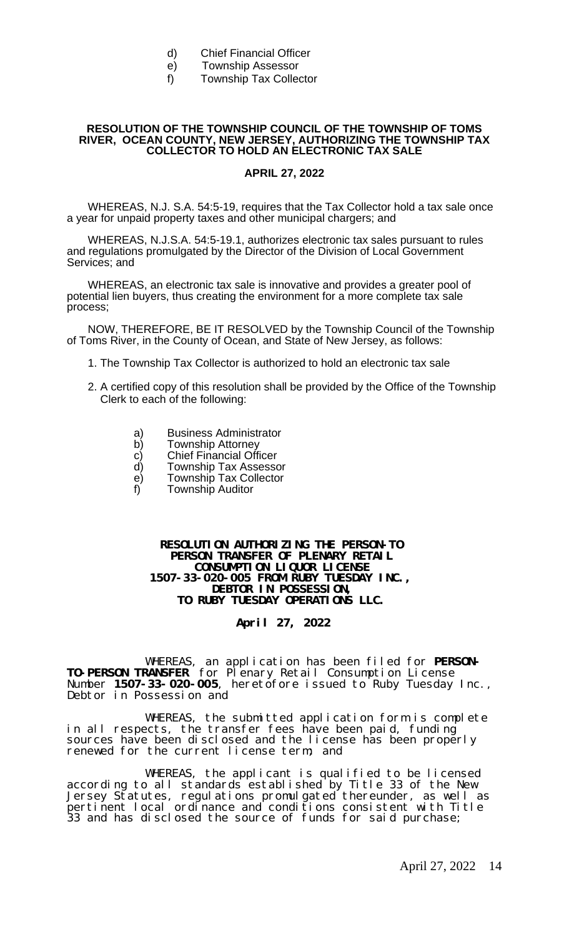- d) Chief Financial Officer
- e) Township Assessor
- f) Township Tax Collector

#### **RESOLUTION OF THE TOWNSHIP COUNCIL OF THE TOWNSHIP OF TOMS RIVER, OCEAN COUNTY, NEW JERSEY, AUTHORIZING THE TOWNSHIP TAX COLLECTOR TO HOLD AN ELECTRONIC TAX SALE**

#### **APRIL 27, 2022**

WHEREAS, N.J. S.A. 54:5-19, requires that the Tax Collector hold a tax sale once a year for unpaid property taxes and other municipal chargers; and

WHEREAS, N.J.S.A. 54:5-19.1, authorizes electronic tax sales pursuant to rules and regulations promulgated by the Director of the Division of Local Government Services; and

WHEREAS, an electronic tax sale is innovative and provides a greater pool of potential lien buyers, thus creating the environment for a more complete tax sale process;

NOW, THEREFORE, BE IT RESOLVED by the Township Council of the Township of Toms River, in the County of Ocean, and State of New Jersey, as follows:

- 1. The Township Tax Collector is authorized to hold an electronic tax sale
- 2. A certified copy of this resolution shall be provided by the Office of the Township Clerk to each of the following:
	- a) Business Administrator<br>b) Township Attorney
	- **Township Attorney**
	- c) Chief Financial Officer<br>d) Township Tax Assesso
	- d) Township Tax Assessor<br>e) Township Tax Collector
	- e) Township Tax Collector<br>f) Township Auditor
	- **Township Auditor**

**RESOLUTION AUTHORIZING THE PERSON-TO PERSON TRANSFER OF PLENARY RETAIL CONSUMPTION LIQUOR LICENSE 1507-33-020-005 FROM RUBY TUESDAY INC., DEBTOR IN POSSESSION, TO RUBY TUESDAY OPERATIONS LLC.**

#### **April 27, 2022**

WHEREAS, an application has been filed for **PERSON-TO-PERSON TRANSFER** for Plenary Retail Consumption License Number **1507-33-020-005**, heretofore issued to Ruby Tuesday Inc., Debtor in Possession and

WHEREAS, the submitted application form is complete in all respects, the transfer fees have been paid, funding sources have been disclosed and the license has been properly renewed for the current license term; and

WHEREAS, the applicant is qualified to be licensed according to all standards established by Title 33 of the New Jersey Statutes, regulations promulgated thereunder, as well as pertinent local ordinance and conditions consistent with Title 33 and has disclosed the source of funds for said purchase;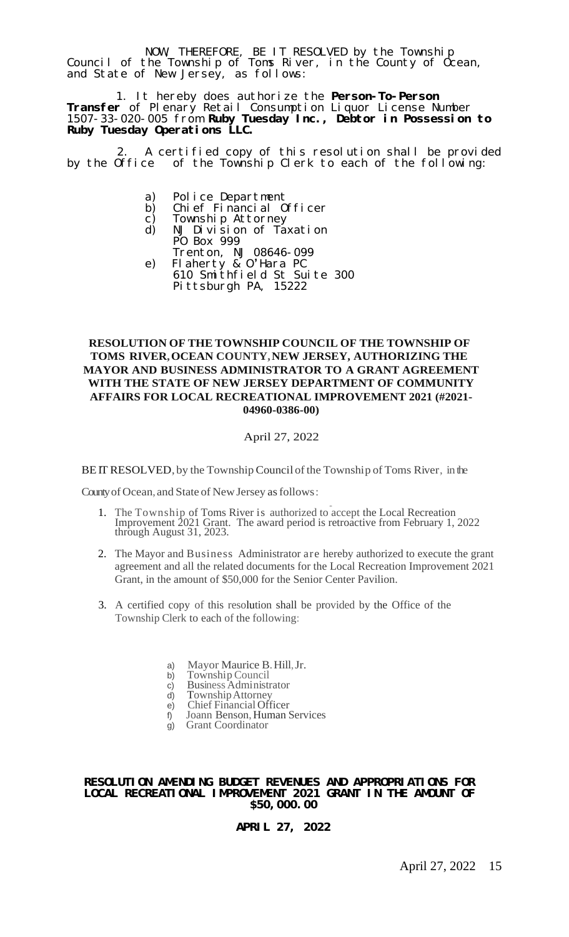NOW, THEREFORE, BE IT RESOLVED by the Township Council of the Township of Toms River, in the County of Ocean, and State of New Jersey, as follows:

 1. It hereby does authorize the **Person-To-Person Transfer** of Plenary Retail Consumption Liquor License Number 1507-33-020-005 from **Ruby Tuesday Inc., Debtor in Possession to Ruby Tuesday Operations LLC.**

2. A certified copy of this resolution shall be provided<br>by the Office of the Township Clerk to each of the following: of the Township Clerk to each of the following:

- a) Police Department
- b) Chief Financial Officer
- c) Township Attorney
- d) NJ Division of Taxation PO Box 999
- Trenton, NJ 08646-099 e) Flaherty & O'Hara PC 610 Smithfield St Suite 300 Pittsburgh PA, 15222

#### **RESOLUTION OF THE TOWNSHIP COUNCIL OF THE TOWNSHIP OF TOMS RIVER,OCEAN COUNTY,NEW JERSEY, AUTHORIZING THE MAYOR AND BUSINESS ADMINISTRATOR TO A GRANT AGREEMENT WITH THE STATE OF NEW JERSEY DEPARTMENT OF COMMUNITY AFFAIRS FOR LOCAL RECREATIONAL IMPROVEMENT 2021 (#2021- 04960-0386-00)**

#### April 27, 2022

BEIT RESOLVED, by the Township Council of the Township of Toms River, in the

County of Ocean, and State of New Jersey as follows:

- nty of Ocean, and State of New Jersey as follows:<br>1. The Township of Toms River is authorized to accept the Local Recreation Improvement 2021 Grant. The award period is retroactive from February 1, 2022 through August 31, 2023.
- 2. The Mayor and Business Administrator are hereby authorized to execute the grant agreement and all the related documents for the Local Recreation Improvement 2021 Grant, in the amount of \$50,000 for the Senior Center Pavilion.
- 3. A certified copy of this resolution shall be provided by the Office of the Township Clerk to each of the following:
	- a) Mayor Maurice B. Hill, Jr.<br>b) Township Council
	- b) Township Council<br>c) Business Administr
	- c) Business Administrator<br>d) Township Attorney
	- d) TownshipAttorney
	- e) Chief Financial Officer<br>f) Joann Benson, Human S
	- f) Joann Benson, Human Services
	- Grant Coordinator

#### **RESOLUTION AMENDING BUDGET REVENUES AND APPROPRIATIONS FOR LOCAL RECREATIONAL IMPROVEMENT 2021 GRANT IN THE AMOUNT OF \$50,000.00**

**APRIL 27, 2022**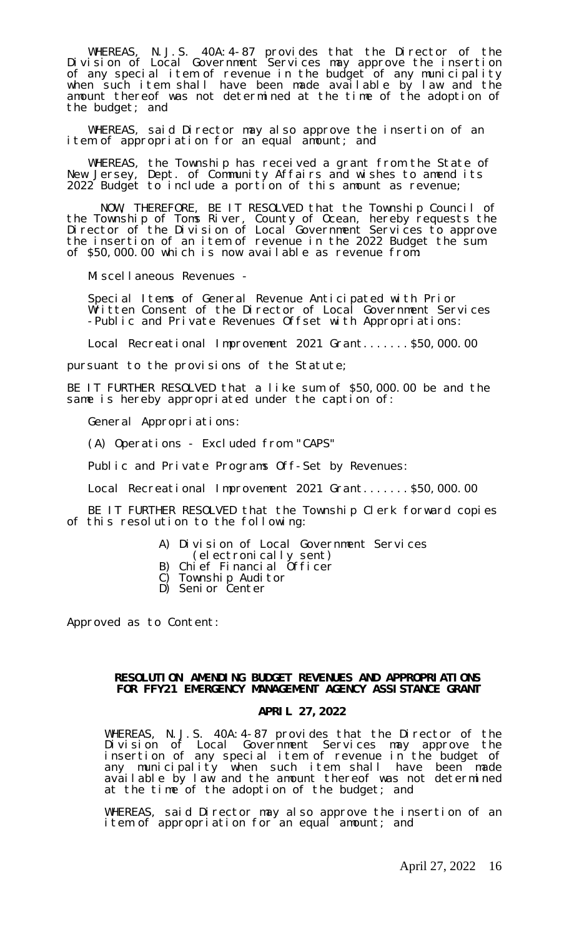WHEREAS, N.J.S. 40A:4-87 provides that the Director of the Division of Local Government Services may approve the insertion of any special item of revenue in the budget of any municipality when such item shall have been made available by law and the amount thereof was not determined at the time of the adoption of the budget; and

WHEREAS, said Director may also approve the insertion of an item of appropriation for an equal amount; and

WHEREAS, the Township has received a grant from the State of New Jersey, Dept. of Community Affairs and wishes to amend its 2022 Budget to include a portion of this amount as revenue;

NOW, THEREFORE, BE IT RESOLVED that the Township Council of the Township of Toms River, County of Ocean, hereby requests the Director of the Division of Local Government Services to approve the insertion of an item of revenue in the 2022 Budget the sum of \$50,000.00 which is now available as revenue from:

Miscellaneous Revenues -

Special Items of General Revenue Anticipated with Prior Written Consent of the Director of Local Government Services -Public and Private Revenues Offset with Appropriations:

Local Recreational Improvement 2021 Grant.......\$50,000.00

pursuant to the provisions of the Statute;

BE IT FURTHER RESOLVED that a like sum of \$50,000.00 be and the same is hereby appropriated under the caption of:

General Appropriations:

(A) Operations - Excluded from "CAPS"

Public and Private Programs Off-Set by Revenues:

Local Recreational Improvement 2021 Grant.......\$50,000.00

BE IT FURTHER RESOLVED that the Township Clerk forward copies of this resolution to the following:

- A) Division of Local Government Services
- (electronically sent)
- B) Chief Financial Officer
- C) Township Auditor
- D) Senior Center

Approved as to Content:

#### **RESOLUTION AMENDING BUDGET REVENUES AND APPROPRIATIONS FOR FFY21 EMERGENCY MANAGEMENT AGENCY ASSISTANCE GRANT**

#### **APRIL 27,2022**

WHEREAS, N.J.S. 40A:4-87 provides that the Director of the Division of Local Government Services may approve the insertion of any special item of revenue in the budget of any municipality when such item shall have been made available by law and the amount thereof was not determined at the time of the adoption of the budget; and

WHEREAS, said Director may also approve the insertion of an item of appropriation for an equal amount; and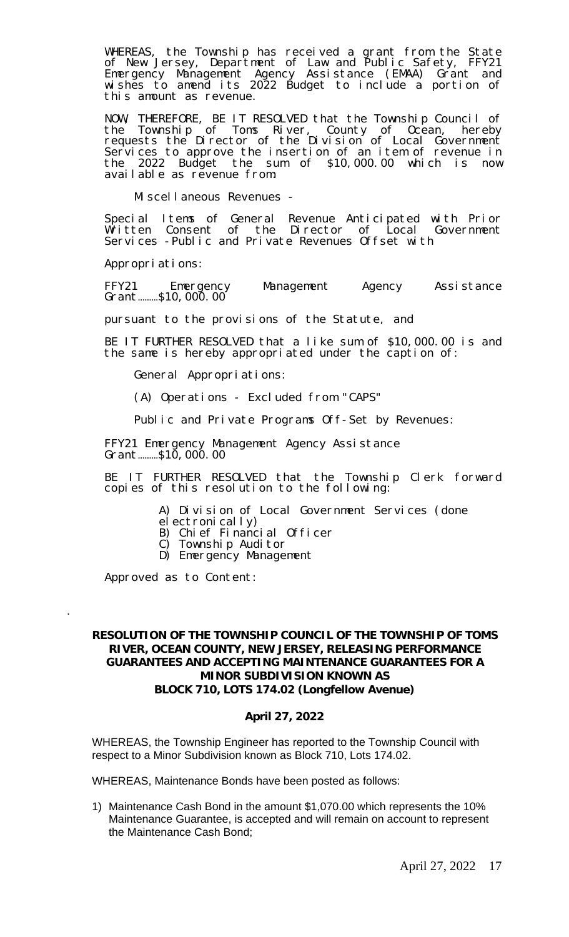WHEREAS, the Township has received a grant from the State of New Jersey, Department of Law and Public Safety, FFY21 Emergency Management Agency Assistance (EMAA) Grant and wishes to amend its 2022 Budget to include a portion of this amount as revenue.

NOW, THEREFORE, BE IT RESOLVED that the Township Council of the Township of Toms River, County of Ocean, hereby requests the Director of the Division of Local Government Services to approve the insertion of an item of revenue in the 2022 Budget the sum of \$10,000.00 which is now available as revenue from:

Miscellaneous Revenues -

Special Items of General Revenue Anticipated with Prior Written Consent of the Director of Local Government Services -Public and Private Revenues Offset with

Appropriations:

FFY21 Emergency Management Agency Assistance Grant………\$10,000.00

pursuant to the provisions of the Statute, and

BE IT FURTHER RESOLVED that a like sum of \$10,000.00 is and the same is hereby appropriated under the caption of:

General Appropriations:

(A) Operations - Excluded from "CAPS"

Public and Private Programs Off-Set by Revenues:

FFY21 Emergency Management Agency Assistance Grant………\$10,000.00

BE IT FURTHER RESOLVED that the Township Clerk forward copies of this resolution to the following:

A) Division of Local Government Services (done

el ectronically)

B) Chief Financial Officer

C) Township Auditor

D) Emergency Management

Approved as to Content:

.

#### **RESOLUTION OF THE TOWNSHIP COUNCIL OF THE TOWNSHIP OF TOMS RIVER, OCEAN COUNTY, NEW JERSEY, RELEASING PERFORMANCE GUARANTEES AND ACCEPTING MAINTENANCE GUARANTEES FOR A MINOR SUBDIVISION KNOWN AS BLOCK 710, LOTS 174.02 (Longfellow Avenue)**

#### **April 27, 2022**

WHEREAS, the Township Engineer has reported to the Township Council with respect to a Minor Subdivision known as Block 710, Lots 174.02.

WHEREAS, Maintenance Bonds have been posted as follows:

1) Maintenance Cash Bond in the amount \$1,070.00 which represents the 10% Maintenance Guarantee, is accepted and will remain on account to represent the Maintenance Cash Bond;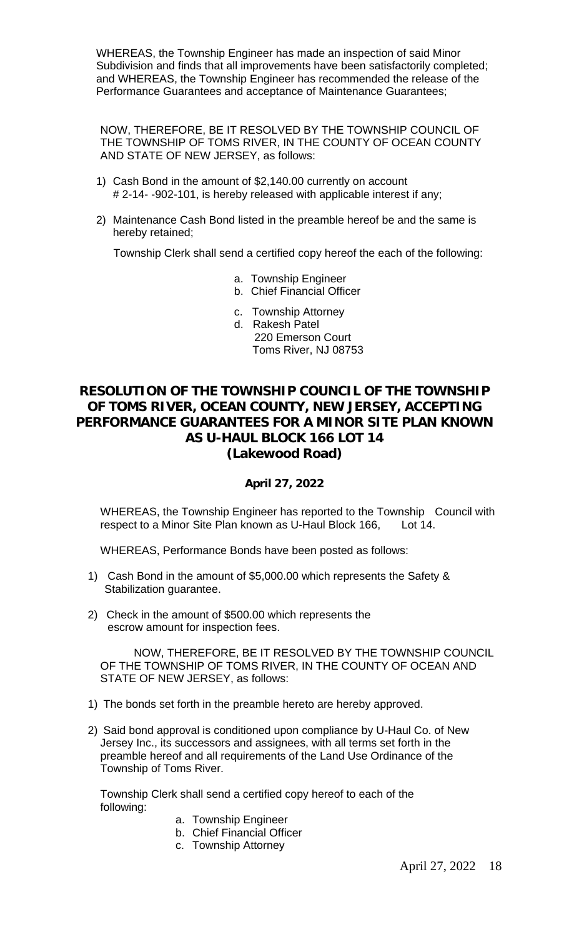WHEREAS, the Township Engineer has made an inspection of said Minor Subdivision and finds that all improvements have been satisfactorily completed; and WHEREAS, the Township Engineer has recommended the release of the Performance Guarantees and acceptance of Maintenance Guarantees;

NOW, THEREFORE, BE IT RESOLVED BY THE TOWNSHIP COUNCIL OF THE TOWNSHIP OF TOMS RIVER, IN THE COUNTY OF OCEAN COUNTY AND STATE OF NEW JERSEY, as follows:

- 1) Cash Bond in the amount of \$2,140.00 currently on account # 2-14- -902-101, is hereby released with applicable interest if any;
- 2) Maintenance Cash Bond listed in the preamble hereof be and the same is hereby retained;

Township Clerk shall send a certified copy hereof the each of the following:

- a. Township Engineer
- b. Chief Financial Officer
- c. Township Attorney
- d. Rakesh Patel
	- 220 Emerson Court Toms River, NJ 08753

#### **RESOLUTION OF THE TOWNSHIP COUNCIL OF THE TOWNSHIP OF TOMS RIVER, OCEAN COUNTY, NEW JERSEY, ACCEPTING PERFORMANCE GUARANTEES FOR A MINOR SITE PLAN KNOWN AS U-HAUL BLOCK 166 LOT 14 (Lakewood Road)**

#### **April 27, 2022**

WHEREAS, the Township Engineer has reported to the Township Council with respect to a Minor Site Plan known as U-Haul Block 166, Lot 14.

WHEREAS, Performance Bonds have been posted as follows:

- 1) Cash Bond in the amount of \$5,000.00 which represents the Safety & Stabilization guarantee.
- 2) Check in the amount of \$500.00 which represents the escrow amount for inspection fees.

NOW, THEREFORE, BE IT RESOLVED BY THE TOWNSHIP COUNCIL OF THE TOWNSHIP OF TOMS RIVER, IN THE COUNTY OF OCEAN AND STATE OF NEW JERSEY, as follows:

- 1) The bonds set forth in the preamble hereto are hereby approved.
- 2) Said bond approval is conditioned upon compliance by U-Haul Co. of New Jersey Inc., its successors and assignees, with all terms set forth in the preamble hereof and all requirements of the Land Use Ordinance of the Township of Toms River.

Township Clerk shall send a certified copy hereof to each of the following:

- a. Township Engineer
- b. Chief Financial Officer
- c. Township Attorney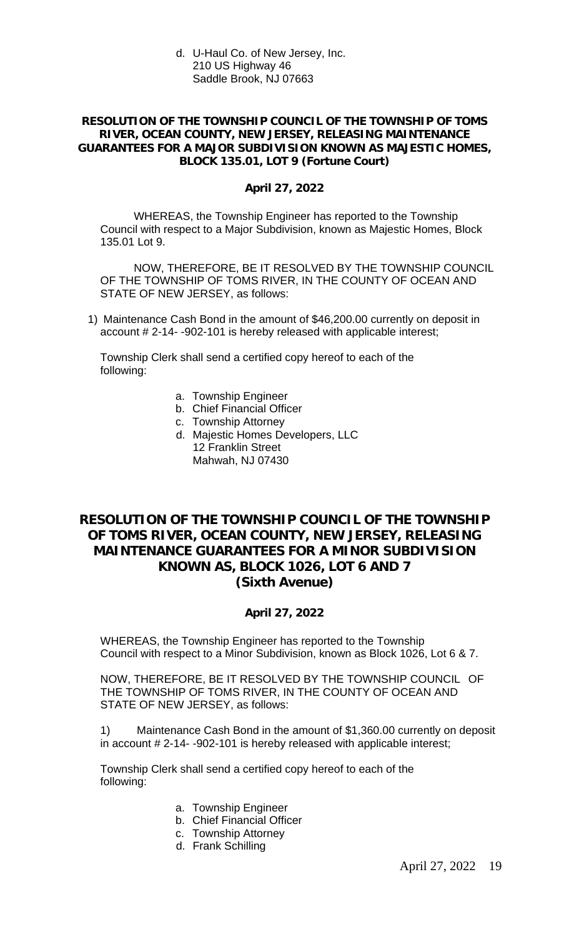d. U-Haul Co. of New Jersey, Inc. 210 US Highway 46 Saddle Brook, NJ 07663

#### **RESOLUTION OF THE TOWNSHIP COUNCIL OF THE TOWNSHIP OF TOMS RIVER, OCEAN COUNTY, NEW JERSEY, RELEASING MAINTENANCE GUARANTEES FOR A MAJOR SUBDIVISION KNOWN AS MAJESTIC HOMES, BLOCK 135.01, LOT 9 (Fortune Court)**

#### **April 27, 2022**

WHEREAS, the Township Engineer has reported to the Township Council with respect to a Major Subdivision, known as Majestic Homes, Block 135.01 Lot 9.

NOW, THEREFORE, BE IT RESOLVED BY THE TOWNSHIP COUNCIL OF THE TOWNSHIP OF TOMS RIVER, IN THE COUNTY OF OCEAN AND STATE OF NEW JERSEY, as follows:

1) Maintenance Cash Bond in the amount of \$46,200.00 currently on deposit in account # 2-14- -902-101 is hereby released with applicable interest;

Township Clerk shall send a certified copy hereof to each of the following:

- a. Township Engineer
- b. Chief Financial Officer
- c. Township Attorney
- d. Majestic Homes Developers, LLC 12 Franklin Street Mahwah, NJ 07430

#### **RESOLUTION OF THE TOWNSHIP COUNCIL OF THE TOWNSHIP OF TOMS RIVER, OCEAN COUNTY, NEW JERSEY, RELEASING MAINTENANCE GUARANTEES FOR A MINOR SUBDIVISION KNOWN AS, BLOCK 1026, LOT 6 AND 7 (Sixth Avenue)**

#### **April 27, 2022**

WHEREAS, the Township Engineer has reported to the Township Council with respect to a Minor Subdivision, known as Block 1026, Lot 6 & 7.

NOW, THEREFORE, BE IT RESOLVED BY THE TOWNSHIP COUNCIL OF THE TOWNSHIP OF TOMS RIVER, IN THE COUNTY OF OCEAN AND STATE OF NEW JERSEY, as follows:

1) Maintenance Cash Bond in the amount of \$1,360.00 currently on deposit in account # 2-14- -902-101 is hereby released with applicable interest;

Township Clerk shall send a certified copy hereof to each of the following:

- a. Township Engineer
- b. Chief Financial Officer
- c. Township Attorney
- d. Frank Schilling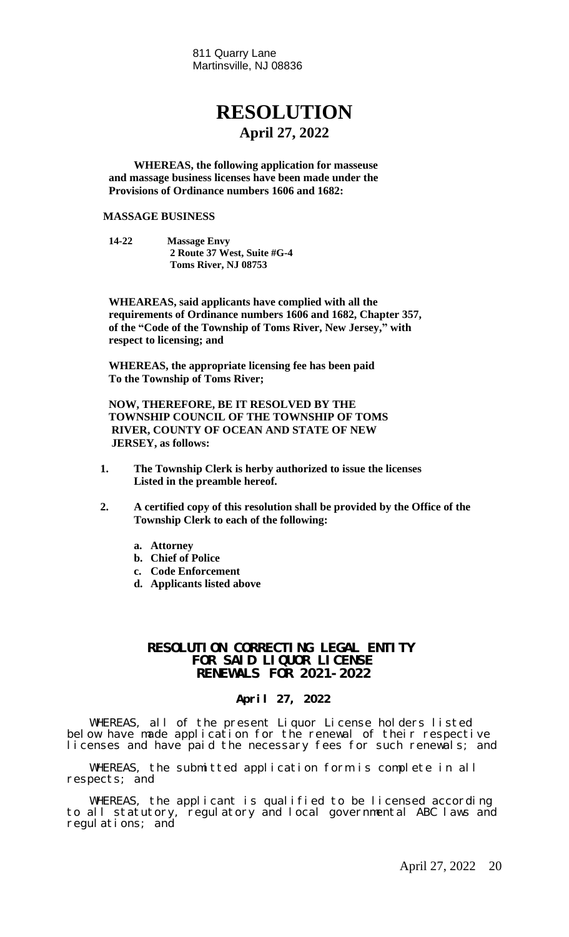811 Quarry Lane Martinsville, NJ 08836

### **RESOLUTION April 27, 2022**

**WHEREAS, the following application for masseuse and massage business licenses have been made under the Provisions of Ordinance numbers 1606 and 1682:**

#### **MASSAGE BUSINESS**

**14-22 Massage Envy 2 Route 37 West, Suite #G-4 Toms River, NJ 08753**

**WHEAREAS, said applicants have complied with all the requirements of Ordinance numbers 1606 and 1682, Chapter 357, of the "Code of the Township of Toms River, New Jersey, " with respect to licensing; and**

**WHEREAS, the appropriate licensing fee has been paid To the Township of Toms River;**

**NOW, THEREFORE, BE IT RESOLVED BY THE TOWNSHIP COUNCIL OF THE TOWNSHIP OF TOMS RIVER, COUNTY OF OCEAN AND STATE OF NEW JERSEY, as follows:**

- **1. The Township Clerk is herby authorized to issue the licenses Listed in the preamble hereof.**
- **2. A certified copy of this resolution shall be provided by the Office of the Township Clerk to each of the following:**
	- **a. Attorney**
	- **b. Chief of Police**
	- **c. Code Enforcement**
	- **d. Applicants listed above**

#### **RESOLUTION CORRECTING LEGAL ENTITY FOR SAID LIQUOR LICENSE RENEWALS FOR 2021-2022**

#### **April 27, 2022**

WHEREAS, all of the present Liquor License holders listed below have made application for the renewal of their respective licenses and have paid the necessary fees for such renewals; and

WHEREAS, the submitted application form is complete in all respects; and

WHEREAS, the applicant is qualified to be licensed according to all statutory, regulatory and local governmental ABC laws and regulations; and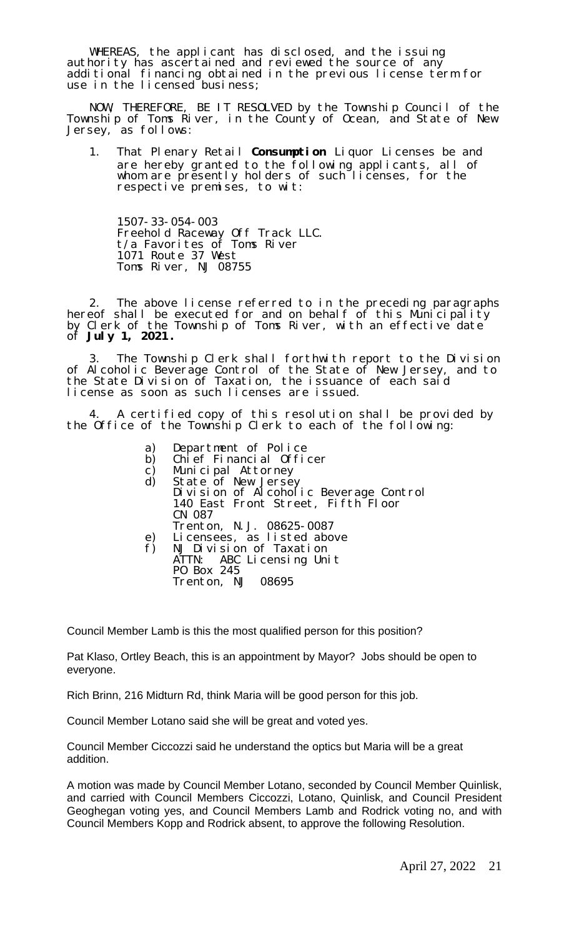WHEREAS, the applicant has disclosed, and the issuing authority has ascertained and reviewed the source of any additional financing obtained in the previous license term for use in the licensed business;

NOW, THEREFORE, BE IT RESOLVED by the Township Council of the Township of Toms River, in the County of Ocean, and State of New Jersey, as follows:

1. That Plenary Retail **Consumption** Liquor Licenses be and are hereby granted to the following applicants, all of whom are presently holders of such licenses, for the respective premises, to wit:

1507-33-054-003 Freehold Raceway Off Track LLC. t/a Favorites of Toms River 1071 Route 37 West Toms River, NJ 08755

2. The above license referred to in the preceding paragraphs hereof shall be executed for and on behalf of this Municipality by Clerk of the Township of Toms River, with an effective date of **July 1, 2021 .**

3. The Township Clerk shall forthwith report to the Division of Alcoholic Beverage Control of the State of New Jersey, and to the State Division of Taxation, the issuance of each said license as soon as such licenses are issued.

4. A certified copy of this resolution shall be provided by the Office of the Township Clerk to each of the following:

- a) Department of Police<br>b) Chief Financial Offic
- b) Chief Financial Officer<br>c) Municipal Attorney
- c) Municipal Attorney<br>d) State of New Jerse
	- d) State of New Jersey Division of Alcoholic Beverage Control 140 East Front Street, Fifth Floor CN 087 Trenton, N.J. 08625-0087
- e) Licensees, as listed above
- f) NJ Division of Taxation ATTN: ABC Licensing Unit PO Box 245 Trenton, NJ 08695

Council Member Lamb is this the most qualified person for this position?

Pat Klaso, Ortley Beach, this is an appointment by Mayor? Jobs should be open to everyone.

Rich Brinn, 216 Midturn Rd, think Maria will be good person for this job.

Council Member Lotano said she will be great and voted yes.

Council Member Ciccozzi said he understand the optics but Maria will be a great addition.

A motion was made by Council Member Lotano, seconded by Council Member Quinlisk, and carried with Council Members Ciccozzi, Lotano, Quinlisk, and Council President Geoghegan voting yes, and Council Members Lamb and Rodrick voting no, and with Council Members Kopp and Rodrick absent, to approve the following Resolution.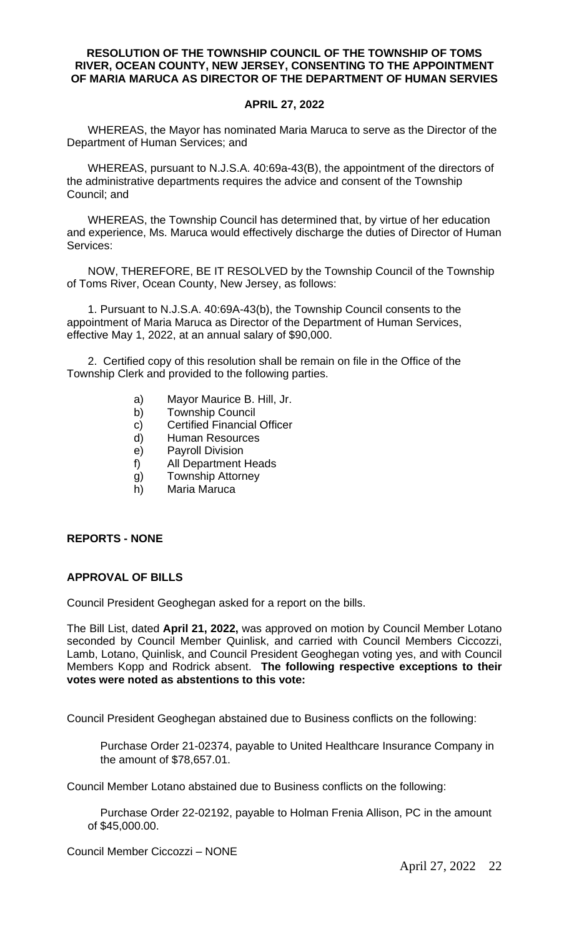#### **RESOLUTION OF THE TOWNSHIP COUNCIL OF THE TOWNSHIP OF TOMS RIVER, OCEAN COUNTY, NEW JERSEY, CONSENTING TO THE APPOINTMENT OF MARIA MARUCA AS DIRECTOR OF THE DEPARTMENT OF HUMAN SERVIES**

#### **APRIL 27, 2022**

WHEREAS, the Mayor has nominated Maria Maruca to serve as the Director of the Department of Human Services; and

WHEREAS, pursuant to N.J.S.A. 40:69a-43(B), the appointment of the directors of the administrative departments requires the advice and consent of the Township Council; and

WHEREAS, the Township Council has determined that, by virtue of her education and experience, Ms. Maruca would effectively discharge the duties of Director of Human Services:

NOW, THEREFORE, BE IT RESOLVED by the Township Council of the Township of Toms River, Ocean County, New Jersey, as follows:

1. Pursuant to N.J.S.A. 40:69A-43(b), the Township Council consents to the appointment of Maria Maruca as Director of the Department of Human Services, effective May 1, 2022, at an annual salary of \$90,000.

2. Certified copy of this resolution shall be remain on file in the Office of the Township Clerk and provided to the following parties.

- a) Mayor Maurice B. Hill, Jr.
- b) Township Council
- c) Certified Financial Officer
- d) Human Resources
- e) Payroll Division
- f) All Department Heads
- g) Township Attorney
- h) Maria Maruca

#### **REPORTS - NONE**

#### **APPROVAL OF BILLS**

Council President Geoghegan asked for a report on the bills.

The Bill List, dated **April 21, 2022,** was approved on motion by Council Member Lotano seconded by Council Member Quinlisk, and carried with Council Members Ciccozzi, Lamb, Lotano, Quinlisk, and Council President Geoghegan voting yes, and with Council Members Kopp and Rodrick absent. **The following respective exceptions to their votes were noted as abstentions to this vote:**

Council President Geoghegan abstained due to Business conflicts on the following:

Purchase Order 21-02374, payable to United Healthcare Insurance Company in the amount of \$78,657.01.

Council Member Lotano abstained due to Business conflicts on the following:

Purchase Order 22-02192, payable to Holman Frenia Allison, PC in the amount of \$45,000.00.

Council Member Ciccozzi – NONE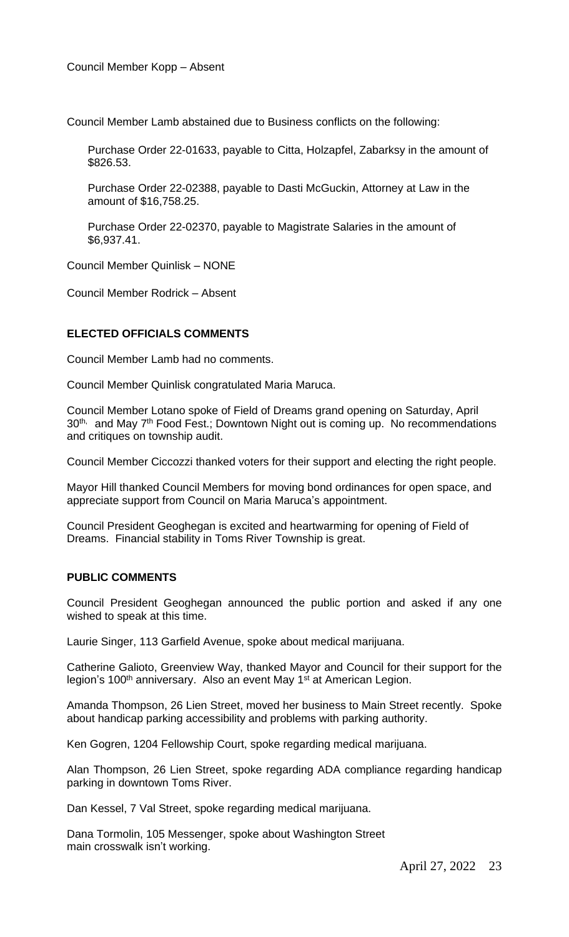Council Member Lamb abstained due to Business conflicts on the following:

Purchase Order 22-01633, payable to Citta, Holzapfel, Zabarksy in the amount of \$826.53.

Purchase Order 22-02388, payable to Dasti McGuckin, Attorney at Law in the amount of \$16,758.25.

Purchase Order 22-02370, payable to Magistrate Salaries in the amount of \$6,937.41.

Council Member Quinlisk – NONE

Council Member Rodrick – Absent

#### **ELECTED OFFICIALS COMMENTS**

Council Member Lamb had no comments.

Council Member Quinlisk congratulated Maria Maruca.

Council Member Lotano spoke of Field of Dreams grand opening on Saturday, April 30<sup>th,</sup> and May 7<sup>th</sup> Food Fest.; Downtown Night out is coming up. No recommendations and critiques on township audit.

Council Member Ciccozzi thanked voters for their support and electing the right people.

Mayor Hill thanked Council Members for moving bond ordinances for open space, and appreciate support from Council on Maria Maruca's appointment.

Council President Geoghegan is excited and heartwarming for opening of Field of Dreams. Financial stability in Toms River Township is great.

#### **PUBLIC COMMENTS**

Council President Geoghegan announced the public portion and asked if any one wished to speak at this time.

Laurie Singer, 113 Garfield Avenue, spoke about medical marijuana.

Catherine Galioto, Greenview Way, thanked Mayor and Council for their support for the legion's 100<sup>th</sup> anniversary. Also an event May 1<sup>st</sup> at American Legion.

Amanda Thompson, 26 Lien Street, moved her business to Main Street recently. Spoke about handicap parking accessibility and problems with parking authority.

Ken Gogren, 1204 Fellowship Court, spoke regarding medical marijuana.

Alan Thompson, 26 Lien Street, spoke regarding ADA compliance regarding handicap parking in downtown Toms River.

Dan Kessel, 7 Val Street, spoke regarding medical marijuana.

Dana Tormolin, 105 Messenger, spoke about Washington Street main crosswalk isn't working.